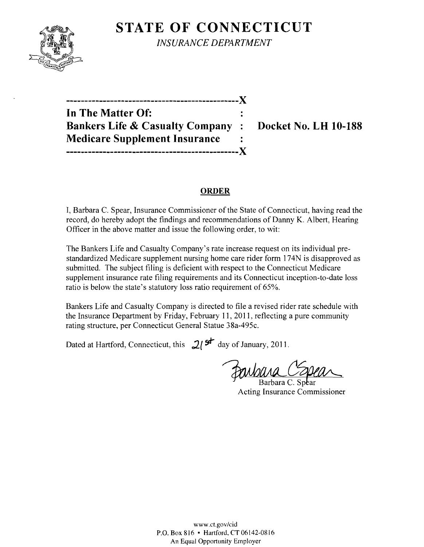# **STATE OF CONNECTICUT**



*INSURANCE DEPARTMENT* 

| In The Matter Of:                          |  |
|--------------------------------------------|--|
| <b>Bankers Life &amp; Casualty Company</b> |  |
| <b>Medicare Supplement Insurance</b>       |  |
| ------------                               |  |

**Bocket No. LH 10-188** 

#### **ORDER**

I, Barbara C. Spear, Insurance Commissioner of the State of Connecticut, having read the record, do hereby adopt the findings and recommendations of Danny K. Albert, Hearing Officer in the above matter and issue the following order, to wit:

The Bankers Life and Casualty Company's rate increase request on its individual prestandardized Medicare supplement nursing home care rider form 174N is disapproved as submitted. The subject filing is deficient with respect to the Connecticut Medicare supplement insurance rate filing requirements and its Connecticut inception-to-date loss ratio is below the state's statutory loss ratio requirement of 65%.

Bankers Life and Casualty Company is directed to file a revised rider rate schedule with the Insurance Department by Friday, February 11,2011, reflecting a pure community rating structure, per Connecticut General Statue 38a-495c.

Dated at Hartford, Connecticut, this  $2^{5}$  day of January, 2011.

Fanbura C'abe

Acting Insurance Commissioner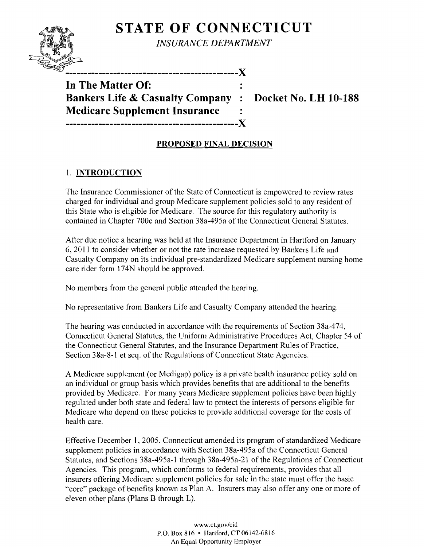# **STATE OF CONNECTICUT**



*INSURANCE DEPARTMENT* 

**In The Matter Of: Bankers Life & Casualty Company : Docket No. LH 10-188 Medicare Supplement Insurance -----------------------------------------------)(** 

## **PROPOSED FINAL DECISION**

# 1. **INTRODUCTION**

The Insurance Commissioner of the State of Connecticut is empowered to review rates charged for individual and group Medicare supplement policies sold to any resident of this State who is eligible for Medicare. The source for this regulatory authority is contained in Chapter 700c and Section 38a-495a of the Connecticut General Statutes.

After due notice a hearing was held at the Insurance Department in Hartford on January 6, 2011 to consider whether or not the rate increase requested by Bankers Life and Casualty Company on its individual pre-standardized Medicare supplement nursing home care rider form 174N should be approved.

No members from the general public attended the hearing.

No representative from Bankers Life and Casualty Company attended the hearing.

The hearing was conducted in accordance with the requirements of Section 38a-474, Connecticut General Statutes, the Uniform Administrative Procedures Act, Chapter 54 of the Connecticut General Statutes, and the Insurance Department Rules of Practice, Section 38a-8-1 et seq. of the Regulations of Connecticut State Agencies.

A Medicare supplement (or Medigap) policy is a private health insurance policy sold on an individual or group basis which provides benefits that are additional to the benefits provided by Medicare. For many years Medicare supplement policies have been highly regulated under both state and federal law to protect the interests of persons eligible for Medicare who depend on these policies to provide additional coverage for the costs of health care.

Effective December 1,2005, Connecticut amended its program of standardized Medicare supplement policies in accordance with Section 38a-495a of the Connecticut General Statutes, and Sections 38a-495a-l through 38a-495a-21 of the Regulations of Connecticut Agencies. This program, which conforms to federal requirements, provides that all insurers offering Medicare supplement policies for sale in the state must offer the basic "core" package of benefits known as Plan A. Insurers may also offer anyone or more of eleven other plans (Plans B through L).

> www.ct.gov/cid P.O. Box 816 • Hartford, CT 06142-0816 An Equal Opportunity Employer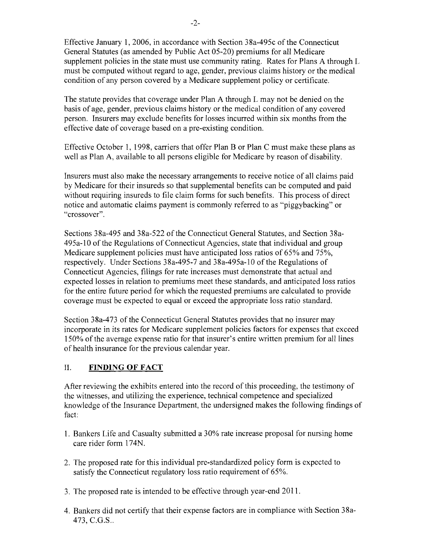Effective January 1, 2006, in accordance with Section 38a-495c of the Connecticut General Statutes (as amended by Public Act 05-20) premiums for all Medicare supplement policies in the state must use community rating. Rates for Plans A through L must be computed without regard to age, gender, previous claims history or the medical condition of any person covered by a Medicare supplement policy or certificate.

The statute provides that coverage under Plan A through L may not be denied on the basis of age, gender, previous claims history or the medical condition of any covered person. Insurers may exclude benefits for losses incurred within six months from the effective date of coverage based on a pre-existing condition.

Effective October 1, 1998, carriers that offer Plan B or Plan C must make these plans as well as Plan A, available to all persons eligible for Medicare by reason of disability.

Insurers must also make the necessary arrangements to receive notice of all claims paid by Medicare for their insureds so that supplemental benefits can be computed and paid without requiring insureds to file claim forms for such benefits. This process of direct notice and automatic claims payment is commonly referred to as "piggybacking" or "crossover".

Sections 38a-495 and 38a-522 of the Connecticut General Statutes, and Section 38a-495a-10 of the Regulations of Connecticut Agencies, state that individual and group Medicare supplement policies must have anticipated loss ratios of 65% and 75%, respectively. Under Sections 38a-495-7 and 38a-495a-1O of the Regulations of Connecticut Agencies, filings for rate increases must demonstrate that actual and expected losses in relation to premiums meet these standards, and anticipated loss ratios for the entire future period for which the requested premiums are calculated to provide coverage must be expected to equal or exceed the appropriate loss ratio standard.

Section 38a-473 of the Connecticut General Statutes provides that no insurer may incorporate in its rates for Medicare supplement policies factors for expenses that exceed 150% of the average expense ratio for that insurer's entire written premium for all lines of health insurance for the previous calendar year.

#### II. **FINDING OF FACT**

After reviewing the exhibits entered into the record of this proceeding, the testimony of the witnesses, and utilizing the experience, technical competence and specialized knowledge of the Insurance Department, the undersigned makes the following findings of fact:

- 1. Bankers Life and Casualty submitted a 30% rate increase proposal for nursing home care rider form 174N.
- 2. The proposed rate for this individual pre-standardized policy form is expected to satisfy the Connecticut regulatory loss ratio requirement of 65%.
- 3. The proposed rate is intended to be effective through year-end 2011.
- 4. Bankers did not certify that their expense factors are in compliance with Section 38a-473, e.G.S..